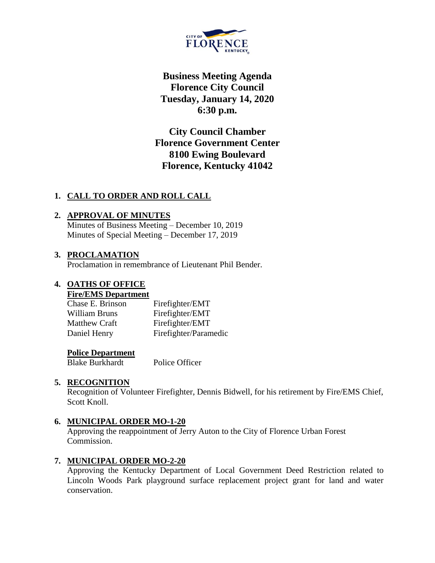

**Business Meeting Agenda Florence City Council Tuesday, January 14, 2020 6:30 p.m.**

**City Council Chamber Florence Government Center 8100 Ewing Boulevard Florence, Kentucky 41042**

## **1. CALL TO ORDER AND ROLL CALL**

### **2. APPROVAL OF MINUTES**

Minutes of Business Meeting – December 10, 2019 Minutes of Special Meeting – December 17, 2019

### **3. PROCLAMATION**

Proclamation in remembrance of Lieutenant Phil Bender.

### **4. OATHS OF OFFICE**

#### **Fire/EMS Department**

| Chase E. Brinson | Firefighter/EMT       |
|------------------|-----------------------|
| William Bruns    | Firefighter/EMT       |
| Matthew Craft    | Firefighter/EMT       |
| Daniel Henry     | Firefighter/Paramedic |

### **Police Department**

Blake Burkhardt Police Officer

#### **5. RECOGNITION**

Recognition of Volunteer Firefighter, Dennis Bidwell, for his retirement by Fire/EMS Chief, Scott Knoll.

#### **6. MUNICIPAL ORDER MO-1-20**

Approving the reappointment of Jerry Auton to the City of Florence Urban Forest Commission.

## **7. MUNICIPAL ORDER MO-2-20**

Approving the Kentucky Department of Local Government Deed Restriction related to Lincoln Woods Park playground surface replacement project grant for land and water conservation.